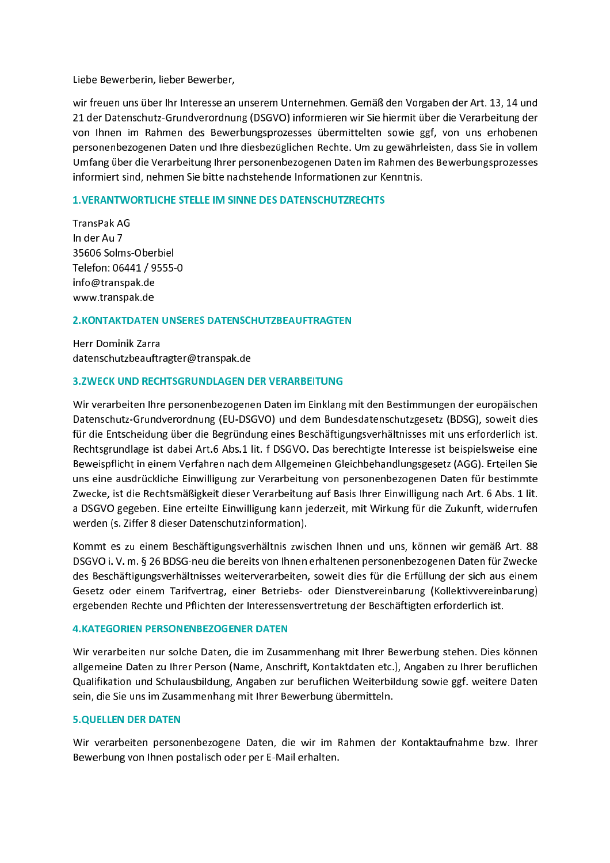Liebe Bewerberin, lieber Bewerber,

wir freuen uns über Ihr Interesse an unserem Unternehmen. Gemäß den Vorgaben der Art. 13, 14 und 21 der Datenschutz-Grundverordnung (DSGVO) informieren wir Sie hiermit über die Verarbeitung der von Ihnen im Rahmen des Bewerbungsprozesses übermittelten sowie ggf, von uns erhobenen personenbezogenen Daten und Ihre diesbezüglichen Rechte. Um zu gewährleisten, dass Sie in vollem Umfang über die Verarbeitung Ihrer personenbezogenen Daten im Rahmen des Bewerbungsprozesses informiert sind, nehmen Sie bitte nachstehende Informationen zur Kenntnis.

## **1. VERANTWORTLICHE STELLE IM SINNE DES DATENSCHUTZRECHTS**

TransPak AG In der Au 7 35606 Solms-Oberbiel Telefon: 06441 / 9555-0 info@transpak.de www.transpak.de

# **2. KONTAKTDATEN UNSERES DATENSCHUTZBEAUFTRAGTEN**

Herr Dominik Zarra datenschutzbeauftragter@transpak.de

# **3.ZWECK UND RECHTSGRUNDLAGEN DER VERARBEITUNG**

Wir verarbeiten Ihre personenbezogenen Daten im Einklang mit den Bestimmungen der europäischen Datenschutz-Grundverordnung (EU-DSGVO) und dem Bundesdatenschutzgesetz (BDSG), soweit dies für die Entscheidung über die Begründung eines Beschäftigungsverhältnisses mit uns erforderlich ist. Rechtsgrundlage ist dabei Art.6 Abs.1 lit. f DSGVO. Das berechtigte Interesse ist beispielsweise eine Beweispflicht in einem Verfahren nach dem Allgemeinen Gleichbehandlungsgesetz (AGG). Erteilen Sie uns eine ausdrückliche Einwilligung zur Verarbeitung von personenbezogenen Daten für bestimmte Zwecke, ist die Rechtsmäßigkeit dieser Verarbeitung auf Basis Ihrer Einwilligung nach Art. 6 Abs. 1 lit. a DSGVO gegeben. Eine erteilte Einwilligung kann jederzeit, mit Wirkung für die Zukunft, widerrufen werden (s. Ziffer 8 dieser Datenschutzinformation).

Kommt es zu einem Beschäftigungsverhältnis zwischen Ihnen und uns, können wir gemäß Art. 88 DSGVO i. V. m. § 26 BDSG-neu die bereits von Ihnen erhaltenen personenbezogenen Daten für Zwecke des Beschäftigungsverhältnisses weiterverarbeiten, soweit dies für die Erfüllung der sich aus einem Gesetz oder einem Tarifvertrag, einer Betriebs- oder Dienstvereinbarung (Kollektivvereinbarung) ergebenden Rechte und Pflichten der Interessensvertretung der Beschäftigten erforderlich ist.

## **4.KATEGORIEN PERSONENBEZOGENER DATEN**

Wir verarbeiten nur solche Daten, die im Zusammenhang mit Ihrer Bewerbung stehen. Dies können allgemeine Daten zu Ihrer Person (Name, Anschrift, Kontaktdaten etc.), Angaben zu Ihrer beruflichen Qualifikation und Schulausbildung, Angaben zur beruflichen Weiterbildung sowie ggf. weitere Daten sein, die Sie uns im Zusammenhang mit Ihrer Bewerbung übermitteln.

## **5.OUELLEN DER DATEN**

Wir verarbeiten personenbezogene Daten, die wir im Rahmen der Kontaktaufnahme bzw. Ihrer Bewerbung von Ihnen postalisch oder per E-Mail erhalten.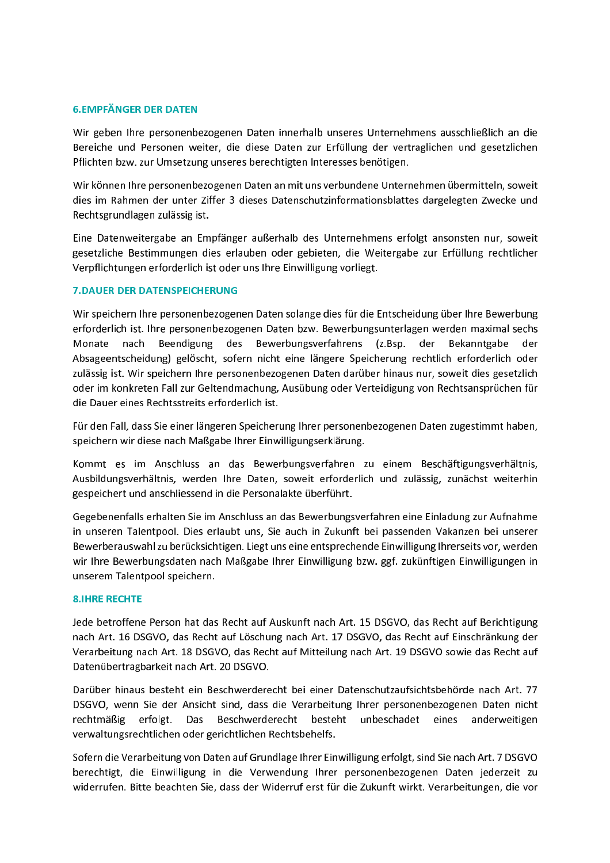#### **6.EMPFÄNGER DER DATEN**

Wir geben Ihre personenbezogenen Daten innerhalb unseres Unternehmens ausschließlich an die Bereiche und Personen weiter, die diese Daten zur Erfüllung der vertraglichen und gesetzlichen Pflichten bzw. zur Umsetzung unseres berechtigten Interesses benötigen.

Wir können Ihre personenbezogenen Daten an mit uns verbundene Unternehmen übermitteln, soweit dies im Rahmen der unter Ziffer 3 dieses Datenschutzinformationsblattes dargelegten Zwecke und Rechtsgrundlagen zulässig ist.

Eine Datenweitergabe an Empfänger außerhalb des Unternehmens erfolgt ansonsten nur, soweit gesetzliche Bestimmungen dies erlauben oder gebieten, die Weitergabe zur Erfüllung rechtlicher Verpflichtungen erforderlich ist oder uns Ihre Einwilligung vorliegt.

#### **7. DAUER DER DATENSPEICHERUNG**

Wir speichern Ihre personenbezogenen Daten solange dies für die Entscheidung über Ihre Bewerbung erforderlich ist. Ihre personenbezogenen Daten bzw. Bewerbungsunterlagen werden maximal sechs Beendigung des Bewerbungsverfahrens (z.Bsp. der Bekanntgabe Monate nach der Absageentscheidung) gelöscht, sofern nicht eine längere Speicherung rechtlich erforderlich oder zulässig ist. Wir speichern Ihre personenbezogenen Daten darüber hinaus nur, soweit dies gesetzlich oder im konkreten Fall zur Geltendmachung, Ausübung oder Verteidigung von Rechtsansprüchen für die Dauer eines Rechtsstreits erforderlich ist.

Für den Fall, dass Sie einer längeren Speicherung Ihrer personenbezogenen Daten zugestimmt haben, speichern wir diese nach Maßgabe Ihrer Einwilligungserklärung.

Kommt es im Anschluss an das Bewerbungsverfahren zu einem Beschäftigungsverhältnis, Ausbildungsverhältnis, werden Ihre Daten, soweit erforderlich und zulässig, zunächst weiterhin gespeichert und anschliessend in die Personalakte überführt.

Gegebenenfalls erhalten Sie im Anschluss an das Bewerbungsverfahren eine Einladung zur Aufnahme in unseren Talentpool. Dies erlaubt uns, Sie auch in Zukunft bei passenden Vakanzen bei unserer Bewerberauswahl zu berücksichtigen. Liegt uns eine entsprechende Einwilligung Ihrerseits vor, werden wir Ihre Bewerbungsdaten nach Maßgabe Ihrer Einwilligung bzw. ggf. zukünftigen Einwilligungen in unserem Talentpool speichern.

## **8.IHRE RECHTE**

Jede betroffene Person hat das Recht auf Auskunft nach Art. 15 DSGVO, das Recht auf Berichtigung nach Art. 16 DSGVO, das Recht auf Löschung nach Art. 17 DSGVO, das Recht auf Einschränkung der Verarbeitung nach Art. 18 DSGVO, das Recht auf Mitteilung nach Art. 19 DSGVO sowie das Recht auf Datenübertragbarkeit nach Art. 20 DSGVO.

Darüber hinaus besteht ein Beschwerderecht bei einer Datenschutzaufsichtsbehörde nach Art. 77 DSGVO, wenn Sie der Ansicht sind, dass die Verarbeitung Ihrer personenbezogenen Daten nicht rechtmäßig erfolgt. Das Beschwerderecht besteht unbeschadet eines anderweitigen verwaltungsrechtlichen oder gerichtlichen Rechtsbehelfs.

Sofern die Verarbeitung von Daten auf Grundlage Ihrer Einwilligung erfolgt, sind Sie nach Art. 7 DSGVO berechtigt, die Einwilligung in die Verwendung Ihrer personenbezogenen Daten jederzeit zu widerrufen. Bitte beachten Sie, dass der Widerruf erst für die Zukunft wirkt. Verarbeitungen, die vor